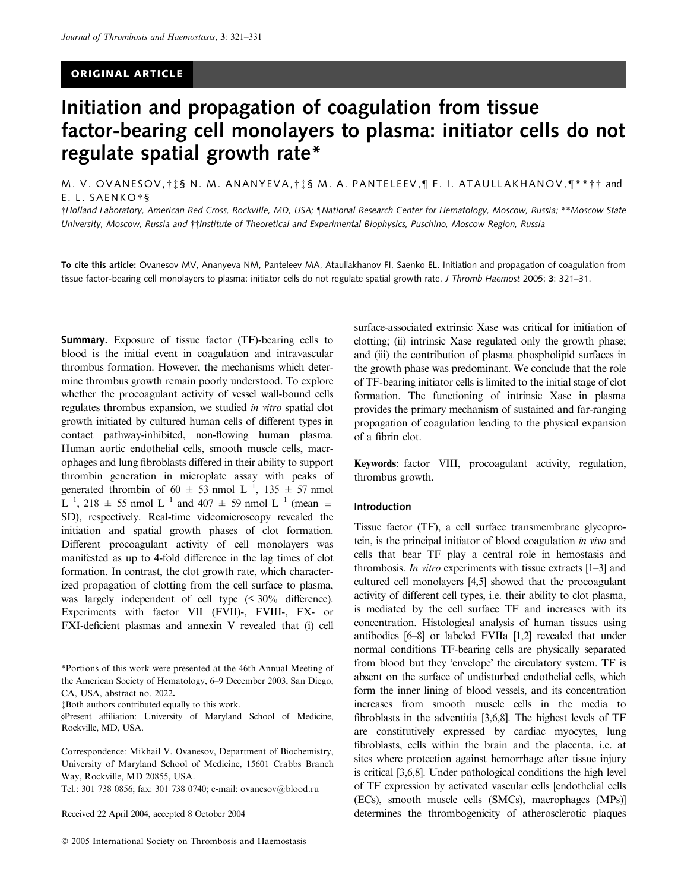# ORIGINAL ARTICLE

# Initiation and propagation of coagulation from tissue factor-bearing cell monolayers to plasma: initiator cells do not regulate spatial growth rate\*

M. V. OVANESOV,†‡§ N. M. ANANYEVA,†‡§ M. A. PANTELEEV,¶ F. I. ATAULLAKHANOV,¶\*\*†† and E. L. SAENKO<sup>+</sup>§

†Holland Laboratory, American Red Cross, Rockville, MD, USA; [National Research Center for Hematology, Moscow, Russia; \*\*Moscow State University, Moscow, Russia and tthstitute of Theoretical and Experimental Biophysics, Puschino, Moscow Region, Russia

To cite this article: Ovanesov MV, Ananyeva NM, Panteleev MA, Ataullakhanov FI, Saenko EL. Initiation and propagation of coagulation from tissue factor-bearing cell monolayers to plasma: initiator cells do not regulate spatial growth rate. J Thromb Haemost 2005; 3: 321-31.

Summary. Exposure of tissue factor (TF)-bearing cells to blood is the initial event in coagulation and intravascular thrombus formation. However, the mechanisms which determine thrombus growth remain poorly understood. To explore whether the procoagulant activity of vessel wall-bound cells regulates thrombus expansion, we studied in vitro spatial clot growth initiated by cultured human cells of different types in contact pathway-inhibited, non-flowing human plasma. Human aortic endothelial cells, smooth muscle cells, macrophages and lung fibroblasts differed in their ability to support thrombin generation in microplate assay with peaks of generated thrombin of 60  $\pm$  53 nmol L<sup>-1</sup>, 135  $\pm$  57 nmol  $L^{-1}$ , 218  $\pm$  55 nmol  $L^{-1}$  and 407  $\pm$  59 nmol  $L^{-1}$  (mean  $\pm$ SD), respectively. Real-time videomicroscopy revealed the initiation and spatial growth phases of clot formation. Different procoagulant activity of cell monolayers was manifested as up to 4-fold difference in the lag times of clot formation. In contrast, the clot growth rate, which characterized propagation of clotting from the cell surface to plasma, was largely independent of cell type  $(\leq 30\%$  difference). Experiments with factor VII (FVII)-, FVIII-, FX- or FXI-deficient plasmas and annexin V revealed that (i) cell

\*Portions of this work were presented at the 46th Annual Meeting of the American Society of Hematology, 6–9 December 2003, San Diego, CA, USA, abstract no. 2022.

-Both authors contributed equally to this work.

§Present affiliation: University of Maryland School of Medicine, Rockville, MD, USA.

Correspondence: Mikhail V. Ovanesov, Department of Biochemistry, University of Maryland School of Medicine, 15601 Crabbs Branch Way, Rockville, MD 20855, USA.

Tel.: 301 738 0856; fax: 301 738 0740; e-mail: ovanesov@blood.ru

Received 22 April 2004, accepted 8 October 2004

surface-associated extrinsic Xase was critical for initiation of clotting; (ii) intrinsic Xase regulated only the growth phase; and (iii) the contribution of plasma phospholipid surfaces in the growth phase was predominant. We conclude that the role of TF-bearing initiator cells is limited to the initial stage of clot formation. The functioning of intrinsic Xase in plasma provides the primary mechanism of sustained and far-ranging propagation of coagulation leading to the physical expansion of a fibrin clot.

Keywords: factor VIII, procoagulant activity, regulation, thrombus growth.

#### Introduction

Tissue factor (TF), a cell surface transmembrane glycoprotein, is the principal initiator of blood coagulation in vivo and cells that bear TF play a central role in hemostasis and thrombosis. In vitro experiments with tissue extracts [1–3] and cultured cell monolayers [4,5] showed that the procoagulant activity of different cell types, i.e. their ability to clot plasma, is mediated by the cell surface TF and increases with its concentration. Histological analysis of human tissues using antibodies [6–8] or labeled FVIIa [1,2] revealed that under normal conditions TF-bearing cells are physically separated from blood but they 'envelope' the circulatory system. TF is absent on the surface of undisturbed endothelial cells, which form the inner lining of blood vessels, and its concentration increases from smooth muscle cells in the media to fibroblasts in the adventitia [3,6,8]. The highest levels of TF are constitutively expressed by cardiac myocytes, lung fibroblasts, cells within the brain and the placenta, i.e. at sites where protection against hemorrhage after tissue injury is critical [3,6,8]. Under pathological conditions the high level of TF expression by activated vascular cells [endothelial cells (ECs), smooth muscle cells (SMCs), macrophages (MPs)] determines the thrombogenicity of atherosclerotic plaques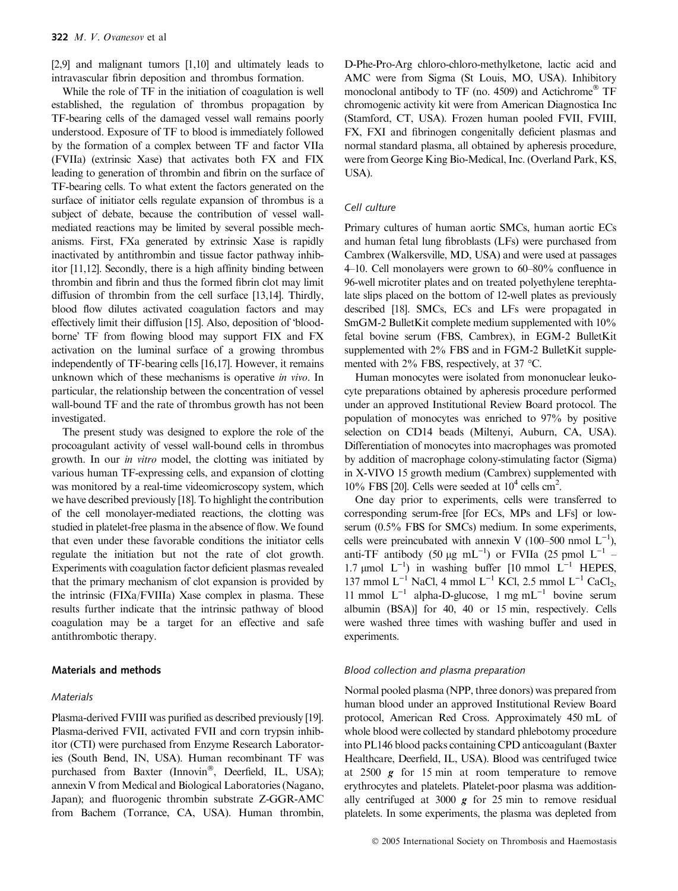[2,9] and malignant tumors [1,10] and ultimately leads to intravascular fibrin deposition and thrombus formation.

While the role of TF in the initiation of coagulation is well established, the regulation of thrombus propagation by TF-bearing cells of the damaged vessel wall remains poorly understood. Exposure of TF to blood is immediately followed by the formation of a complex between TF and factor VIIa (FVIIa) (extrinsic Xase) that activates both FX and FIX leading to generation of thrombin and fibrin on the surface of TF-bearing cells. To what extent the factors generated on the surface of initiator cells regulate expansion of thrombus is a subject of debate, because the contribution of vessel wallmediated reactions may be limited by several possible mechanisms. First, FXa generated by extrinsic Xase is rapidly inactivated by antithrombin and tissue factor pathway inhibitor [11,12]. Secondly, there is a high affinity binding between thrombin and fibrin and thus the formed fibrin clot may limit diffusion of thrombin from the cell surface [13,14]. Thirdly, blood flow dilutes activated coagulation factors and may effectively limit their diffusion [15]. Also, deposition of bloodborne' TF from flowing blood may support FIX and FX activation on the luminal surface of a growing thrombus independently of TF-bearing cells [16,17]. However, it remains unknown which of these mechanisms is operative *in vivo*. In particular, the relationship between the concentration of vessel wall-bound TF and the rate of thrombus growth has not been investigated.

The present study was designed to explore the role of the procoagulant activity of vessel wall-bound cells in thrombus growth. In our in vitro model, the clotting was initiated by various human TF-expressing cells, and expansion of clotting was monitored by a real-time videomicroscopy system, which we have described previously [18]. To highlight the contribution of the cell monolayer-mediated reactions, the clotting was studied in platelet-free plasma in the absence of flow. We found that even under these favorable conditions the initiator cells regulate the initiation but not the rate of clot growth. Experiments with coagulation factor deficient plasmas revealed that the primary mechanism of clot expansion is provided by the intrinsic (FIXa/FVIIIa) Xase complex in plasma. These results further indicate that the intrinsic pathway of blood coagulation may be a target for an effective and safe antithrombotic therapy.

## Materials and methods

#### **Materials**

Plasma-derived FVIII was purified as described previously [19]. Plasma-derived FVII, activated FVII and corn trypsin inhibitor (CTI) were purchased from Enzyme Research Laboratories (South Bend, IN, USA). Human recombinant TF was purchased from Baxter (Innovin®, Deerfield, IL, USA); annexin V from Medical and Biological Laboratories (Nagano, Japan); and fluorogenic thrombin substrate Z-GGR-AMC from Bachem (Torrance, CA, USA). Human thrombin,

D-Phe-Pro-Arg chloro-chloro-methylketone, lactic acid and AMC were from Sigma (St Louis, MO, USA). Inhibitory monoclonal antibody to TF (no. 4509) and Actichrome® TF chromogenic activity kit were from American Diagnostica Inc (Stamford, CT, USA). Frozen human pooled FVII, FVIII, FX, FXI and fibrinogen congenitally deficient plasmas and normal standard plasma, all obtained by apheresis procedure, were from George King Bio-Medical, Inc. (Overland Park, KS, USA).

#### Cell culture

Primary cultures of human aortic SMCs, human aortic ECs and human fetal lung fibroblasts (LFs) were purchased from Cambrex (Walkersville, MD, USA) and were used at passages 4–10. Cell monolayers were grown to 60–80% confluence in 96-well microtiter plates and on treated polyethylene terephtalate slips placed on the bottom of 12-well plates as previously described [18]. SMCs, ECs and LFs were propagated in SmGM-2 BulletKit complete medium supplemented with 10% fetal bovine serum (FBS, Cambrex), in EGM-2 BulletKit supplemented with  $2\%$  FBS and in FGM-2 BulletKit supplemented with  $2\%$  FBS, respectively, at 37 °C.

Human monocytes were isolated from mononuclear leukocyte preparations obtained by apheresis procedure performed under an approved Institutional Review Board protocol. The population of monocytes was enriched to 97% by positive selection on CD14 beads (Miltenyi, Auburn, CA, USA). Differentiation of monocytes into macrophages was promoted by addition of macrophage colony-stimulating factor (Sigma) in X-VIVO 15 growth medium (Cambrex) supplemented with 10% FBS [20]. Cells were seeded at  $10^4$  cells cm<sup>2</sup>.

One day prior to experiments, cells were transferred to corresponding serum-free [for ECs, MPs and LFs] or lowserum (0.5% FBS for SMCs) medium. In some experiments, cells were preincubated with annexin V (100–500 nmol  $L^{-1}$ ), anti-TF antibody (50  $\mu$ g mL<sup>-1</sup>) or FVIIa (25 pmol L<sup>-1</sup> – 1.7 µmol  $L^{-1}$ ) in washing buffer [10 mmol  $L^{-1}$  HEPES, 137 mmol  $L^{-1}$  NaCl, 4 mmol  $L^{-1}$  KCl, 2.5 mmol  $L^{-1}$  CaCl<sub>2</sub>, 11 mmol  $L^{-1}$  alpha-D-glucose, 1 mg m $L^{-1}$  bovine serum albumin (BSA)] for 40, 40 or 15 min, respectively. Cells were washed three times with washing buffer and used in experiments.

## Blood collection and plasma preparation

Normal pooled plasma (NPP, three donors) was prepared from human blood under an approved Institutional Review Board protocol, American Red Cross. Approximately 450 mL of whole blood were collected by standard phlebotomy procedure into PL146 blood packs containing CPD anticoagulant (Baxter Healthcare, Deerfield, IL, USA). Blood was centrifuged twice at 2500 g for 15 min at room temperature to remove erythrocytes and platelets. Platelet-poor plasma was additionally centrifuged at 3000  $g$  for 25 min to remove residual platelets. In some experiments, the plasma was depleted from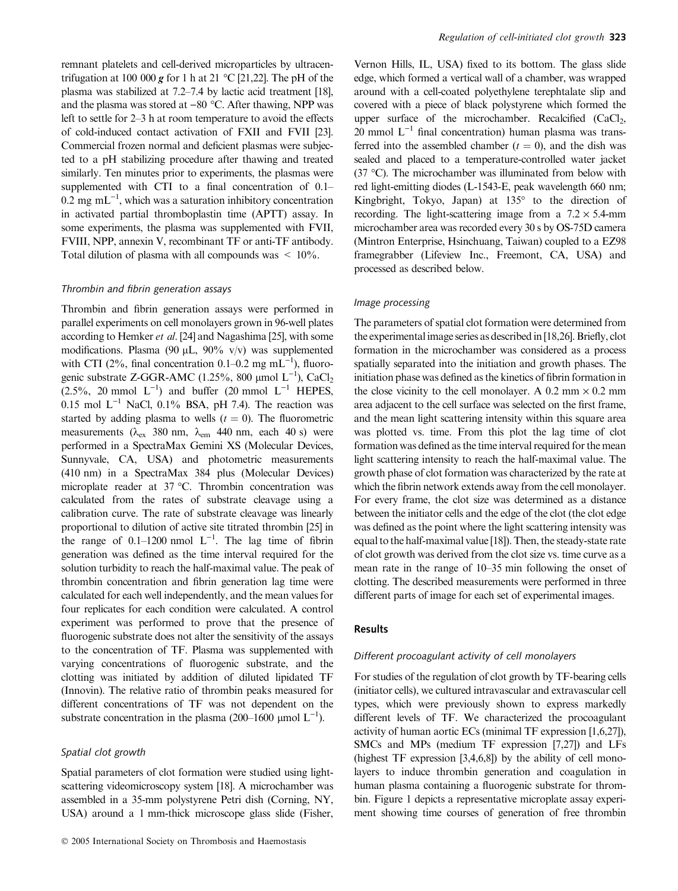remnant platelets and cell-derived microparticles by ultracentrifugation at 100 000 g for 1 h at 21 °C [21,22]. The pH of the plasma was stabilized at 7.2–7.4 by lactic acid treatment [18], and the plasma was stored at  $-80$  °C. After thawing, NPP was left to settle for 2–3 h at room temperature to avoid the effects of cold-induced contact activation of FXII and FVII [23]. Commercial frozen normal and deficient plasmas were subjected to a pH stabilizing procedure after thawing and treated similarly. Ten minutes prior to experiments, the plasmas were supplemented with CTI to a final concentration of 0.1–  $0.2 \text{ mg } \text{mL}^{-1}$ , which was a saturation inhibitory concentration in activated partial thromboplastin time (APTT) assay. In some experiments, the plasma was supplemented with FVII, FVIII, NPP, annexin V, recombinant TF or anti-TF antibody. Total dilution of plasma with all compounds was  $\leq 10\%$ .

## Thrombin and fibrin generation assays

Thrombin and fibrin generation assays were performed in parallel experiments on cell monolayers grown in 96-well plates according to Hemker et al. [24] and Nagashima [25], with some modifications. Plasma (90  $\mu$ L, 90% v/v) was supplemented with CTI (2%, final concentration 0.1–0.2 mg mL<sup>-1</sup>), fluorogenic substrate Z-GGR-AMC (1.25%, 800 µmol  $L^{-1}$ ), CaCl<sub>2</sub>  $(2.5\%$ , 20 mmol  $L^{-1}$ ) and buffer (20 mmol  $L^{-1}$  HEPES, 0.15 mol  $L^{-1}$  NaCl, 0.1% BSA, pH 7.4). The reaction was started by adding plasma to wells  $(t = 0)$ . The fluorometric measurements ( $\lambda_{ex}$  380 nm,  $\lambda_{em}$  440 nm, each 40 s) were performed in a SpectraMax Gemini XS (Molecular Devices, Sunnyvale, CA, USA) and photometric measurements (410 nm) in a SpectraMax 384 plus (Molecular Devices) microplate reader at  $37$  °C. Thrombin concentration was calculated from the rates of substrate cleavage using a calibration curve. The rate of substrate cleavage was linearly proportional to dilution of active site titrated thrombin [25] in the range of  $0.1-1200$  nmol  $L^{-1}$ . The lag time of fibrin generation was defined as the time interval required for the solution turbidity to reach the half-maximal value. The peak of thrombin concentration and fibrin generation lag time were calculated for each well independently, and the mean values for four replicates for each condition were calculated. A control experiment was performed to prove that the presence of fluorogenic substrate does not alter the sensitivity of the assays to the concentration of TF. Plasma was supplemented with varying concentrations of fluorogenic substrate, and the clotting was initiated by addition of diluted lipidated TF (Innovin). The relative ratio of thrombin peaks measured for different concentrations of TF was not dependent on the substrate concentration in the plasma (200–1600 µmol  $L^{-1}$ ).

## Spatial clot growth

Spatial parameters of clot formation were studied using lightscattering videomicroscopy system [18]. A microchamber was assembled in a 35-mm polystyrene Petri dish (Corning, NY, USA) around a 1 mm-thick microscope glass slide (Fisher,

Vernon Hills, IL, USA) fixed to its bottom. The glass slide edge, which formed a vertical wall of a chamber, was wrapped around with a cell-coated polyethylene terephtalate slip and covered with a piece of black polystyrene which formed the upper surface of the microchamber. Recalcified  $(CaCl<sub>2</sub>,$ 20 mmol  $L^{-1}$  final concentration) human plasma was transferred into the assembled chamber  $(t = 0)$ , and the dish was sealed and placed to a temperature-controlled water jacket (37 °C). The microchamber was illuminated from below with red light-emitting diodes (L-1543-E, peak wavelength 660 nm; Kingbright, Tokyo, Japan) at 135° to the direction of recording. The light-scattering image from a  $7.2 \times 5.4$ -mm microchamber area was recorded every 30 s by OS-75D camera (Mintron Enterprise, Hsinchuang, Taiwan) coupled to a EZ98 framegrabber (Lifeview Inc., Freemont, CA, USA) and processed as described below.

## Image processing

The parameters of spatial clot formation were determined from the experimental image series as described in [18,26]. Briefly, clot formation in the microchamber was considered as a process spatially separated into the initiation and growth phases. The initiation phase was defined as the kinetics of fibrin formation in the close vicinity to the cell monolayer. A 0.2 mm  $\times$  0.2 mm area adjacent to the cell surface was selected on the first frame, and the mean light scattering intensity within this square area was plotted vs. time. From this plot the lag time of clot formation was defined as the time interval required for the mean light scattering intensity to reach the half-maximal value. The growth phase of clot formation was characterized by the rate at which the fibrin network extends away from the cell monolayer. For every frame, the clot size was determined as a distance between the initiator cells and the edge of the clot (the clot edge was defined as the point where the light scattering intensity was equal to the half-maximal value [18]). Then, the steady-state rate of clot growth was derived from the clot size vs. time curve as a mean rate in the range of 10–35 min following the onset of clotting. The described measurements were performed in three different parts of image for each set of experimental images.

## Results

## Different procoagulant activity of cell monolayers

For studies of the regulation of clot growth by TF-bearing cells (initiator cells), we cultured intravascular and extravascular cell types, which were previously shown to express markedly different levels of TF. We characterized the procoagulant activity of human aortic ECs (minimal TF expression [1,6,27]), SMCs and MPs (medium TF expression [7,27]) and LFs (highest TF expression [3,4,6,8]) by the ability of cell monolayers to induce thrombin generation and coagulation in human plasma containing a fluorogenic substrate for thrombin. Figure 1 depicts a representative microplate assay experiment showing time courses of generation of free thrombin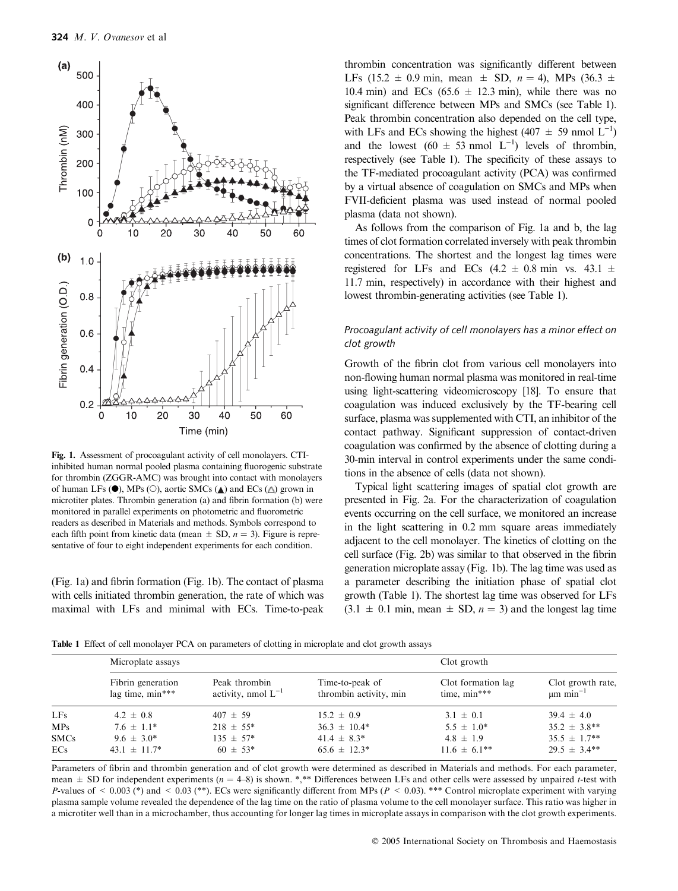

Fig. 1. Assessment of procoagulant activity of cell monolayers. CTIinhibited human normal pooled plasma containing fluorogenic substrate for thrombin (ZGGR-AMC) was brought into contact with monolayers of human LFs  $(\bullet)$ , MPs  $(\circ)$ , aortic SMCs  $(\blacktriangle)$  and ECs  $(\triangle)$  grown in microtiter plates. Thrombin generation (a) and fibrin formation (b) were monitored in parallel experiments on photometric and fluorometric readers as described in Materials and methods. Symbols correspond to each fifth point from kinetic data (mean  $\pm$  SD,  $n = 3$ ). Figure is representative of four to eight independent experiments for each condition.

(Fig. 1a) and fibrin formation (Fig. 1b). The contact of plasma with cells initiated thrombin generation, the rate of which was maximal with LFs and minimal with ECs. Time-to-peak

thrombin concentration was significantly different between LFs (15.2  $\pm$  0.9 min, mean  $\pm$  SD,  $n = 4$ ), MPs (36.3  $\pm$ 10.4 min) and ECs  $(65.6 \pm 12.3 \text{ min})$ , while there was no significant difference between MPs and SMCs (see Table 1). Peak thrombin concentration also depended on the cell type, with LFs and ECs showing the highest (407  $\pm$  59 nmol L<sup>-1</sup>) and the lowest  $(60 \pm 53 \text{ nmol L}^{-1})$  levels of thrombin, respectively (see Table 1). The specificity of these assays to the TF-mediated procoagulant activity (PCA) was confirmed by a virtual absence of coagulation on SMCs and MPs when FVII-deficient plasma was used instead of normal pooled plasma (data not shown).

As follows from the comparison of Fig. 1a and b, the lag times of clot formation correlated inversely with peak thrombin concentrations. The shortest and the longest lag times were registered for LFs and ECs  $(4.2 \pm 0.8 \text{ min}$  vs.  $43.1 \pm$ 11.7 min, respectively) in accordance with their highest and lowest thrombin-generating activities (see Table 1).

# Procoagulant activity of cell monolayers has a minor effect on clot growth

Growth of the fibrin clot from various cell monolayers into non-flowing human normal plasma was monitored in real-time using light-scattering videomicroscopy [18]. To ensure that coagulation was induced exclusively by the TF-bearing cell surface, plasma was supplemented with CTI, an inhibitor of the contact pathway. Significant suppression of contact-driven coagulation was confirmed by the absence of clotting during a 30-min interval in control experiments under the same conditions in the absence of cells (data not shown).

Typical light scattering images of spatial clot growth are presented in Fig. 2a. For the characterization of coagulation events occurring on the cell surface, we monitored an increase in the light scattering in 0.2 mm square areas immediately adjacent to the cell monolayer. The kinetics of clotting on the cell surface (Fig. 2b) was similar to that observed in the fibrin generation microplate assay (Fig. 1b). The lag time was used as a parameter describing the initiation phase of spatial clot growth (Table 1). The shortest lag time was observed for LFs  $(3.1 \pm 0.1 \text{ min}, \text{mean} \pm \text{SD}, n = 3)$  and the longest lag time

Table 1 Effect of cell monolayer PCA on parameters of clotting in microplate and clot growth assays

|             | Microplate assays                     |                                          |                                           | Clot growth                        |                                                |
|-------------|---------------------------------------|------------------------------------------|-------------------------------------------|------------------------------------|------------------------------------------------|
|             | Fibrin generation<br>lag time, min*** | Peak thrombin<br>activity, nmol $L^{-1}$ | Time-to-peak of<br>thrombin activity, min | Clot formation lag<br>time, min*** | Clot growth rate,<br>$\mu$ m min <sup>-1</sup> |
| LFs         | $4.2 \pm 0.8$                         | $407 \pm 59$                             | $15.2 \pm 0.9$                            | $3.1 \pm 0.1$                      | $39.4 \pm 4.0$                                 |
| MPs         | $7.6 \pm 1.1*$                        | $218 \pm 55^*$                           | $36.3 \pm 10.4^*$                         | $5.5 \pm 1.0^*$                    | $35.2 \pm 3.8$ **                              |
| <b>SMCs</b> | $9.6 \pm 3.0^*$                       | $135 \pm 57^*$                           | $41.4 \pm 8.3^*$                          | $4.8 \pm 1.9$                      | $35.5 \pm 1.7**$                               |
| ECs         | $43.1 \pm 11.7^*$                     | $60 \pm 53*$                             | $65.6 \pm 12.3^*$                         | $11.6 \pm 6.1$ **                  | $29.5 \pm 3.4**$                               |

Parameters of fibrin and thrombin generation and of clot growth were determined as described in Materials and methods. For each parameter, mean  $\pm$  SD for independent experiments ( $n = 4-8$ ) is shown. \*,\*\* Differences between LFs and other cells were assessed by unpaired t-test with P-values of  $\leq 0.003$  (\*) and  $\leq 0.03$  (\*\*). ECs were significantly different from MPs (P  $\leq 0.03$ ). \*\*\* Control microplate experiment with varying plasma sample volume revealed the dependence of the lag time on the ratio of plasma volume to the cell monolayer surface. This ratio was higher in a microtiter well than in a microchamber, thus accounting for longer lag times in microplate assays in comparison with the clot growth experiments.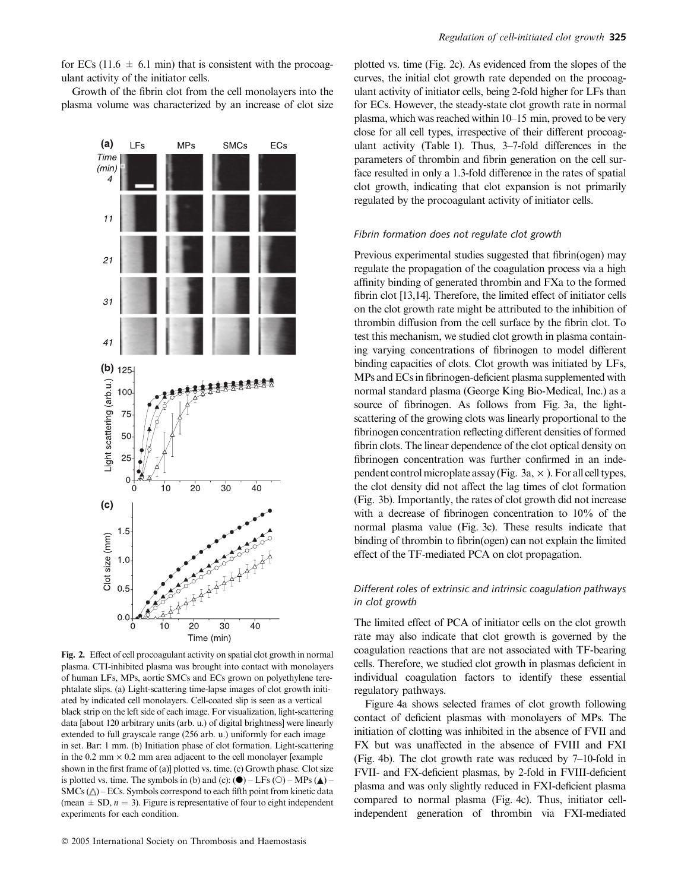for ECs (11.6  $\pm$  6.1 min) that is consistent with the procoagulant activity of the initiator cells.

Growth of the fibrin clot from the cell monolayers into the plasma volume was characterized by an increase of clot size



Fig. 2. Effect of cell procoagulant activity on spatial clot growth in normal plasma. CTI-inhibited plasma was brought into contact with monolayers of human LFs, MPs, aortic SMCs and ECs grown on polyethylene terephtalate slips. (a) Light-scattering time-lapse images of clot growth initiated by indicated cell monolayers. Cell-coated slip is seen as a vertical black strip on the left side of each image. For visualization, light-scattering data [about 120 arbitrary units (arb. u.) of digital brightness] were linearly extended to full grayscale range (256 arb. u.) uniformly for each image in set. Bar: 1 mm. (b) Initiation phase of clot formation. Light-scattering in the 0.2 mm  $\times$  0.2 mm area adjacent to the cell monolayer [example shown in the first frame of (a)] plotted vs. time. (c) Growth phase. Clot size is plotted vs. time. The symbols in (b) and (c):  $(\bullet)$  – LFs (O) – MPs ( $\blacktriangle$ ) –  $SMCs (\triangle) - ECs$ . Symbols correspond to each fifth point from kinetic data (mean  $\pm$  SD,  $n = 3$ ). Figure is representative of four to eight independent experiments for each condition.

plotted vs. time (Fig. 2c). As evidenced from the slopes of the curves, the initial clot growth rate depended on the procoagulant activity of initiator cells, being 2-fold higher for LFs than for ECs. However, the steady-state clot growth rate in normal plasma, which was reached within 10–15 min, proved to be very close for all cell types, irrespective of their different procoagulant activity (Table 1). Thus, 3–7-fold differences in the parameters of thrombin and fibrin generation on the cell surface resulted in only a 1.3-fold difference in the rates of spatial clot growth, indicating that clot expansion is not primarily regulated by the procoagulant activity of initiator cells.

## Fibrin formation does not regulate clot growth

Previous experimental studies suggested that fibrin(ogen) may regulate the propagation of the coagulation process via a high affinity binding of generated thrombin and FXa to the formed fibrin clot [13,14]. Therefore, the limited effect of initiator cells on the clot growth rate might be attributed to the inhibition of thrombin diffusion from the cell surface by the fibrin clot. To test this mechanism, we studied clot growth in plasma containing varying concentrations of fibrinogen to model different binding capacities of clots. Clot growth was initiated by LFs, MPs and ECs in fibrinogen-deficient plasma supplemented with normal standard plasma (George King Bio-Medical, Inc.) as a source of fibrinogen. As follows from Fig. 3a, the lightscattering of the growing clots was linearly proportional to the fibrinogen concentration reflecting different densities of formed fibrin clots. The linear dependence of the clot optical density on fibrinogen concentration was further confirmed in an independent control microplate assay (Fig. 3a,  $\times$  ). For all cell types, the clot density did not affect the lag times of clot formation (Fig. 3b). Importantly, the rates of clot growth did not increase with a decrease of fibrinogen concentration to 10% of the normal plasma value (Fig. 3c). These results indicate that binding of thrombin to fibrin(ogen) can not explain the limited effect of the TF-mediated PCA on clot propagation.

# Different roles of extrinsic and intrinsic coagulation pathways in clot growth

The limited effect of PCA of initiator cells on the clot growth rate may also indicate that clot growth is governed by the coagulation reactions that are not associated with TF-bearing cells. Therefore, we studied clot growth in plasmas deficient in individual coagulation factors to identify these essential regulatory pathways.

Figure 4a shows selected frames of clot growth following contact of deficient plasmas with monolayers of MPs. The initiation of clotting was inhibited in the absence of FVII and FX but was unaffected in the absence of FVIII and FXI (Fig. 4b). The clot growth rate was reduced by 7–10-fold in FVII- and FX-deficient plasmas, by 2-fold in FVIII-deficient plasma and was only slightly reduced in FXI-deficient plasma compared to normal plasma (Fig. 4c). Thus, initiator cellindependent generation of thrombin via FXI-mediated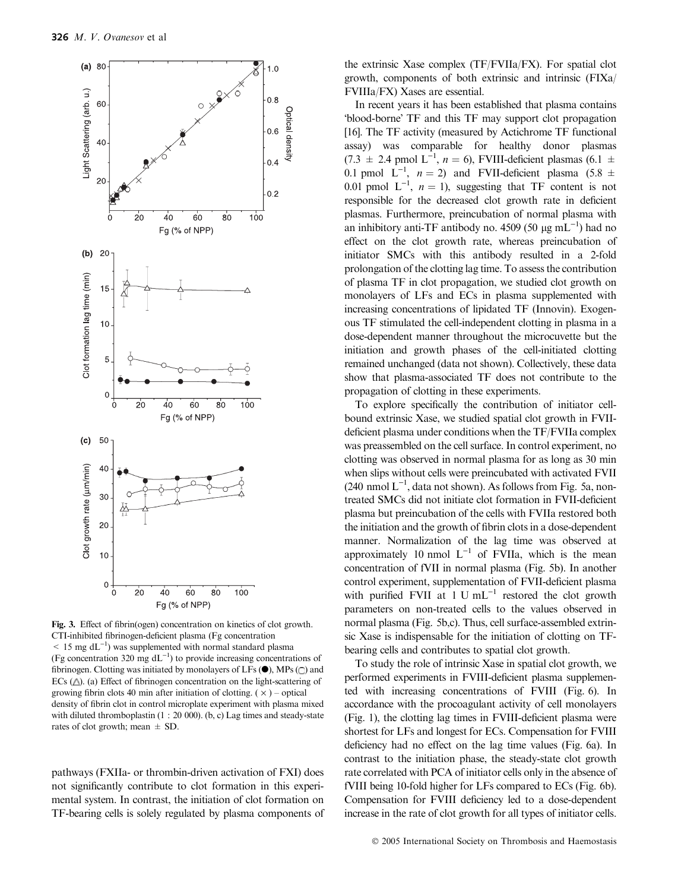

Fig. 3. Effect of fibrin(ogen) concentration on kinetics of clot growth. CTI-inhibited fibrinogen-deficient plasma (Fg concentration  $<$  15 mg dL<sup>-1</sup>) was supplemented with normal standard plasma (Fg concentration 320 mg  $dL^{-1}$ ) to provide increasing concentrations of fibrinogen. Clotting was initiated by monolayers of LFs  $(\bullet)$ , MPs  $\textcircled{c}$  and ECs  $(\triangle)$ . (a) Effect of fibrinogen concentration on the light-scattering of growing fibrin clots 40 min after initiation of clotting.  $(x)$  – optical density of fibrin clot in control microplate experiment with plasma mixed with diluted thromboplastin (1 : 20 000). (b, c) Lag times and steady-state rates of clot growth; mean  $\pm$  SD.

pathways (FXIIa- or thrombin-driven activation of FXI) does not significantly contribute to clot formation in this experimental system. In contrast, the initiation of clot formation on TF-bearing cells is solely regulated by plasma components of

the extrinsic Xase complex (TF/FVIIa/FX). For spatial clot growth, components of both extrinsic and intrinsic (FIXa/ FVIIIa/FX) Xases are essential.

In recent years it has been established that plasma contains 'blood-borne' TF and this TF may support clot propagation [16]. The TF activity (measured by Actichrome TF functional assay) was comparable for healthy donor plasmas  $(7.3 \pm 2.4 \text{ pmol L}^{-1}, n = 6)$ , FVIII-deficient plasmas  $(6.1 \pm 1.6 \text{ mm})$ 0.1 pmol  $L^{-1}$ ,  $n = 2$ ) and FVII-deficient plasma (5.8  $\pm$ 0.01 pmol  $L^{-1}$ ,  $n = 1$ ), suggesting that TF content is not responsible for the decreased clot growth rate in deficient plasmas. Furthermore, preincubation of normal plasma with an inhibitory anti-TF antibody no. 4509 (50  $\mu$ g mL<sup>-1</sup>) had no effect on the clot growth rate, whereas preincubation of initiator SMCs with this antibody resulted in a 2-fold prolongation of the clotting lag time. To assess the contribution of plasma TF in clot propagation, we studied clot growth on monolayers of LFs and ECs in plasma supplemented with increasing concentrations of lipidated TF (Innovin). Exogenous TF stimulated the cell-independent clotting in plasma in a dose-dependent manner throughout the microcuvette but the initiation and growth phases of the cell-initiated clotting remained unchanged (data not shown). Collectively, these data show that plasma-associated TF does not contribute to the propagation of clotting in these experiments.

To explore specifically the contribution of initiator cellbound extrinsic Xase, we studied spatial clot growth in FVIIdeficient plasma under conditions when the TF/FVIIa complex was preassembled on the cell surface. In control experiment, no clotting was observed in normal plasma for as long as 30 min when slips without cells were preincubated with activated FVII  $(240 \text{ nmol L}^{-1}, \text{data not shown})$ . As follows from Fig. 5a, nontreated SMCs did not initiate clot formation in FVII-deficient plasma but preincubation of the cells with FVIIa restored both the initiation and the growth of fibrin clots in a dose-dependent manner. Normalization of the lag time was observed at approximately 10 nmol  $L^{-1}$  of FVIIa, which is the mean concentration of fVII in normal plasma (Fig. 5b). In another control experiment, supplementation of FVII-deficient plasma with purified FVII at  $1 \text{ U } mL^{-1}$  restored the clot growth parameters on non-treated cells to the values observed in normal plasma (Fig. 5b,c). Thus, cell surface-assembled extrinsic Xase is indispensable for the initiation of clotting on TFbearing cells and contributes to spatial clot growth.

To study the role of intrinsic Xase in spatial clot growth, we performed experiments in FVIII-deficient plasma supplemented with increasing concentrations of FVIII (Fig. 6). In accordance with the procoagulant activity of cell monolayers (Fig. 1), the clotting lag times in FVIII-deficient plasma were shortest for LFs and longest for ECs. Compensation for FVIII deficiency had no effect on the lag time values (Fig. 6a). In contrast to the initiation phase, the steady-state clot growth rate correlated with PCA of initiator cells only in the absence of fVIII being 10-fold higher for LFs compared to ECs (Fig. 6b). Compensation for FVIII deficiency led to a dose-dependent increase in the rate of clot growth for all types of initiator cells.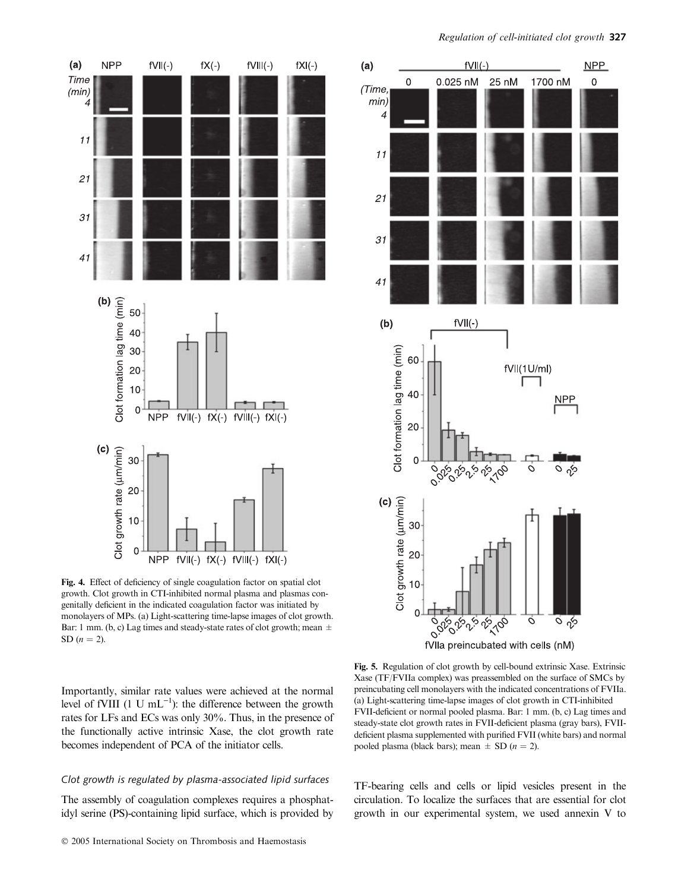

Fig. 4. Effect of deficiency of single coagulation factor on spatial clot growth. Clot growth in CTI-inhibited normal plasma and plasmas congenitally deficient in the indicated coagulation factor was initiated by monolayers of MPs. (a) Light-scattering time-lapse images of clot growth. Bar: 1 mm. (b, c) Lag times and steady-state rates of clot growth; mean  $\pm$ SD  $(n = 2)$ .



## Clot growth is regulated by plasma-associated lipid surfaces

The assembly of coagulation complexes requires a phosphatidyl serine (PS)-containing lipid surface, which is provided by



Fig. 5. Regulation of clot growth by cell-bound extrinsic Xase. Extrinsic Xase (TF/FVIIa complex) was preassembled on the surface of SMCs by preincubating cell monolayers with the indicated concentrations of FVIIa. (a) Light-scattering time-lapse images of clot growth in CTI-inhibited FVII-deficient or normal pooled plasma. Bar: 1 mm. (b, c) Lag times and steady-state clot growth rates in FVII-deficient plasma (gray bars), FVIIdeficient plasma supplemented with purified FVII (white bars) and normal pooled plasma (black bars); mean  $\pm$  SD ( $n = 2$ ).

TF-bearing cells and cells or lipid vesicles present in the circulation. To localize the surfaces that are essential for clot growth in our experimental system, we used annexin V to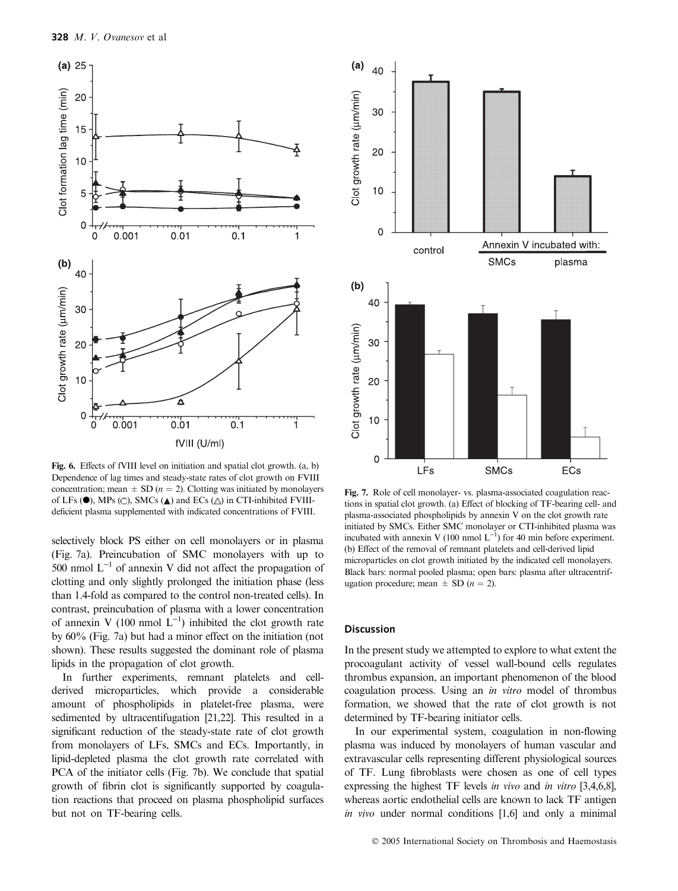

Fig. 6. Effects of fVIII level on initiation and spatial clot growth. (a, b) Dependence of lag times and steady-state rates of clot growth on FVIII concentration; mean  $\pm$  SD (*n* = 2). Clotting was initiated by monolayers of LFs  $(\bullet)$ , MPs  $(\circ)$ , SMCs  $(\bullet)$  and ECs  $(\triangle)$  in CTI-inhibited FVIIIdeficient plasma supplemented with indicated concentrations of FVIII.

selectively block PS either on cell monolayers or in plasma (Fig. 7a). Preincubation of SMC monolayers with up to 500 nmol  $L^{-1}$  of annexin V did not affect the propagation of clotting and only slightly prolonged the initiation phase (less than 1.4-fold as compared to the control non-treated cells). In contrast, preincubation of plasma with a lower concentration of annexin V (100 nmol  $L^{-1}$ ) inhibited the clot growth rate by 60% (Fig. 7a) but had a minor effect on the initiation (not shown). These results suggested the dominant role of plasma lipids in the propagation of clot growth.

In further experiments, remnant platelets and cellderived microparticles, which provide a considerable amount of phospholipids in platelet-free plasma, were sedimented by ultracentifugation [21,22]. This resulted in a significant reduction of the steady-state rate of clot growth from monolayers of LFs, SMCs and ECs. Importantly, in lipid-depleted plasma the clot growth rate correlated with PCA of the initiator cells (Fig. 7b). We conclude that spatial growth of fibrin clot is significantly supported by coagulation reactions that proceed on plasma phospholipid surfaces but not on TF-bearing cells.



Fig. 7. Role of cell monolayer- vs. plasma-associated coagulation reactions in spatial clot growth. (a) Effect of blocking of TF-bearing cell- and plasma-associated phospholipids by annexin V on the clot growth rate initiated by SMCs. Either SMC monolayer or CTI-inhibited plasma was incubated with annexin V (100 nmol  $L^{-1}$ ) for 40 min before experiment. (b) Effect of the removal of remnant platelets and cell-derived lipid microparticles on clot growth initiated by the indicated cell monolayers. Black bars: normal pooled plasma; open bars: plasma after ultracentrifugation procedure; mean  $\pm$  SD (*n* = 2).

## Discussion

In the present study we attempted to explore to what extent the procoagulant activity of vessel wall-bound cells regulates thrombus expansion, an important phenomenon of the blood coagulation process. Using an in vitro model of thrombus formation, we showed that the rate of clot growth is not determined by TF-bearing initiator cells.

In our experimental system, coagulation in non-flowing plasma was induced by monolayers of human vascular and extravascular cells representing different physiological sources of TF. Lung fibroblasts were chosen as one of cell types expressing the highest TF levels in vivo and in vitro [3,4,6,8], whereas aortic endothelial cells are known to lack TF antigen in vivo under normal conditions [1,6] and only a minimal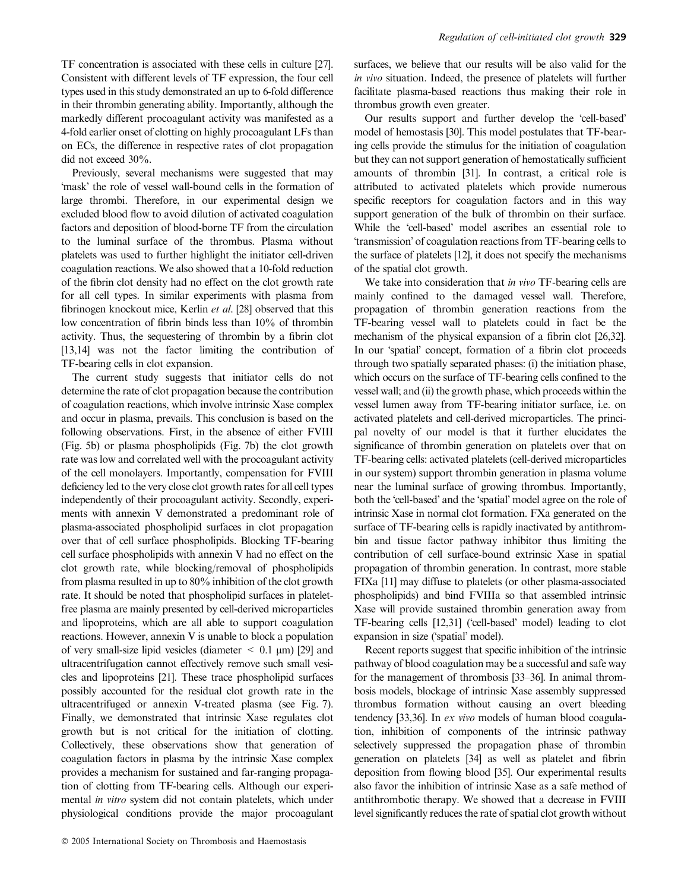TF concentration is associated with these cells in culture [27]. Consistent with different levels of TF expression, the four cell types used in this study demonstrated an up to 6-fold difference in their thrombin generating ability. Importantly, although the markedly different procoagulant activity was manifested as a 4-fold earlier onset of clotting on highly procoagulant LFs than on ECs, the difference in respective rates of clot propagation did not exceed 30%.

Previously, several mechanisms were suggested that may 'mask' the role of vessel wall-bound cells in the formation of large thrombi. Therefore, in our experimental design we excluded blood flow to avoid dilution of activated coagulation factors and deposition of blood-borne TF from the circulation to the luminal surface of the thrombus. Plasma without platelets was used to further highlight the initiator cell-driven coagulation reactions. We also showed that a 10-fold reduction of the fibrin clot density had no effect on the clot growth rate for all cell types. In similar experiments with plasma from fibrinogen knockout mice, Kerlin et al. [28] observed that this low concentration of fibrin binds less than 10% of thrombin activity. Thus, the sequestering of thrombin by a fibrin clot [13,14] was not the factor limiting the contribution of TF-bearing cells in clot expansion.

The current study suggests that initiator cells do not determine the rate of clot propagation because the contribution of coagulation reactions, which involve intrinsic Xase complex and occur in plasma, prevails. This conclusion is based on the following observations. First, in the absence of either FVIII (Fig. 5b) or plasma phospholipids (Fig. 7b) the clot growth rate was low and correlated well with the procoagulant activity of the cell monolayers. Importantly, compensation for FVIII deficiency led to the very close clot growth rates for all cell types independently of their procoagulant activity. Secondly, experiments with annexin V demonstrated a predominant role of plasma-associated phospholipid surfaces in clot propagation over that of cell surface phospholipids. Blocking TF-bearing cell surface phospholipids with annexin V had no effect on the clot growth rate, while blocking/removal of phospholipids from plasma resulted in up to 80% inhibition of the clot growth rate. It should be noted that phospholipid surfaces in plateletfree plasma are mainly presented by cell-derived microparticles and lipoproteins, which are all able to support coagulation reactions. However, annexin V is unable to block a population of very small-size lipid vesicles (diameter  $\leq$  0.1  $\mu$ m) [29] and ultracentrifugation cannot effectively remove such small vesicles and lipoproteins [21]. These trace phospholipid surfaces possibly accounted for the residual clot growth rate in the ultracentrifuged or annexin V-treated plasma (see Fig. 7). Finally, we demonstrated that intrinsic Xase regulates clot growth but is not critical for the initiation of clotting. Collectively, these observations show that generation of coagulation factors in plasma by the intrinsic Xase complex provides a mechanism for sustained and far-ranging propagation of clotting from TF-bearing cells. Although our experimental in vitro system did not contain platelets, which under physiological conditions provide the major procoagulant surfaces, we believe that our results will be also valid for the in vivo situation. Indeed, the presence of platelets will further facilitate plasma-based reactions thus making their role in thrombus growth even greater.

Our results support and further develop the 'cell-based' model of hemostasis [30]. This model postulates that TF-bearing cells provide the stimulus for the initiation of coagulation but they can not support generation of hemostatically sufficient amounts of thrombin [31]. In contrast, a critical role is attributed to activated platelets which provide numerous specific receptors for coagulation factors and in this way support generation of the bulk of thrombin on their surface. While the 'cell-based' model ascribes an essential role to 'transmission' of coagulation reactions from TF-bearing cells to the surface of platelets [12], it does not specify the mechanisms of the spatial clot growth.

We take into consideration that *in vivo* TF-bearing cells are mainly confined to the damaged vessel wall. Therefore, propagation of thrombin generation reactions from the TF-bearing vessel wall to platelets could in fact be the mechanism of the physical expansion of a fibrin clot [26,32]. In our 'spatial' concept, formation of a fibrin clot proceeds through two spatially separated phases: (i) the initiation phase, which occurs on the surface of TF-bearing cells confined to the vessel wall; and (ii) the growth phase, which proceeds within the vessel lumen away from TF-bearing initiator surface, i.e. on activated platelets and cell-derived microparticles. The principal novelty of our model is that it further elucidates the significance of thrombin generation on platelets over that on TF-bearing cells: activated platelets (cell-derived microparticles in our system) support thrombin generation in plasma volume near the luminal surface of growing thrombus. Importantly, both the 'cell-based' and the 'spatial' model agree on the role of intrinsic Xase in normal clot formation. FXa generated on the surface of TF-bearing cells is rapidly inactivated by antithrombin and tissue factor pathway inhibitor thus limiting the contribution of cell surface-bound extrinsic Xase in spatial propagation of thrombin generation. In contrast, more stable FIXa [11] may diffuse to platelets (or other plasma-associated phospholipids) and bind FVIIIa so that assembled intrinsic Xase will provide sustained thrombin generation away from TF-bearing cells [12,31] ('cell-based' model) leading to clot expansion in size ('spatial' model).

Recent reports suggest that specific inhibition of the intrinsic pathway of blood coagulation may be a successful and safe way for the management of thrombosis [33–36]. In animal thrombosis models, blockage of intrinsic Xase assembly suppressed thrombus formation without causing an overt bleeding tendency [33,36]. In ex vivo models of human blood coagulation, inhibition of components of the intrinsic pathway selectively suppressed the propagation phase of thrombin generation on platelets [34] as well as platelet and fibrin deposition from flowing blood [35]. Our experimental results also favor the inhibition of intrinsic Xase as a safe method of antithrombotic therapy. We showed that a decrease in FVIII level significantly reduces the rate of spatial clot growth without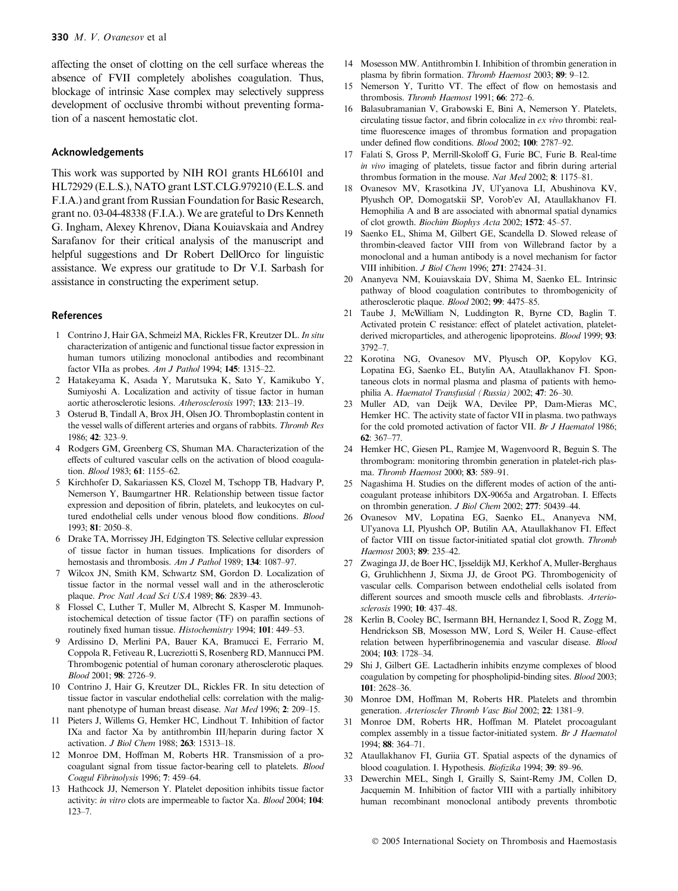affecting the onset of clotting on the cell surface whereas the absence of FVII completely abolishes coagulation. Thus, blockage of intrinsic Xase complex may selectively suppress development of occlusive thrombi without preventing formation of a nascent hemostatic clot.

# Acknowledgements

This work was supported by NIH RO1 grants HL66101 and HL72929 (E.L.S.), NATO grant LST.CLG.979210 (E.L.S. and F.I.A.) and grant from Russian Foundation for Basic Research, grant no. 03-04-48338 (F.I.A.). We are grateful to Drs Kenneth G. Ingham, Alexey Khrenov, Diana Kouiavskaia and Andrey Sarafanov for their critical analysis of the manuscript and helpful suggestions and Dr Robert DellOrco for linguistic assistance. We express our gratitude to Dr V.I. Sarbash for assistance in constructing the experiment setup.

#### References

- 1 Contrino J, Hair GA, Schmeizl MA, Rickles FR, Kreutzer DL. In situ characterization of antigenic and functional tissue factor expression in human tumors utilizing monoclonal antibodies and recombinant factor VIIa as probes. Am J Pathol 1994; 145: 1315–22.
- 2 Hatakeyama K, Asada Y, Marutsuka K, Sato Y, Kamikubo Y, Sumiyoshi A. Localization and activity of tissue factor in human aortic atherosclerotic lesions. Atherosclerosis 1997; 133: 213–19.
- 3 Osterud B, Tindall A, Brox JH, Olsen JO. Thromboplastin content in the vessel walls of different arteries and organs of rabbits. Thromb Res 1986; 42: 323–9.
- 4 Rodgers GM, Greenberg CS, Shuman MA. Characterization of the effects of cultured vascular cells on the activation of blood coagulation. Blood 1983; 61: 1155–62.
- 5 Kirchhofer D, Sakariassen KS, Clozel M, Tschopp TB, Hadvary P, Nemerson Y, Baumgartner HR. Relationship between tissue factor expression and deposition of fibrin, platelets, and leukocytes on cultured endothelial cells under venous blood flow conditions. Blood 1993; 81: 2050–8.
- 6 Drake TA, Morrissey JH, Edgington TS. Selective cellular expression of tissue factor in human tissues. Implications for disorders of hemostasis and thrombosis. Am J Pathol 1989; 134: 1087-97.
- 7 Wilcox JN, Smith KM, Schwartz SM, Gordon D. Localization of tissue factor in the normal vessel wall and in the atherosclerotic plaque. Proc Natl Acad Sci USA 1989; 86: 2839–43.
- 8 Flossel C, Luther T, Muller M, Albrecht S, Kasper M. Immunohistochemical detection of tissue factor (TF) on paraffin sections of routinely fixed human tissue. Histochemistry 1994; 101: 449–53.
- 9 Ardissino D, Merlini PA, Bauer KA, Bramucci E, Ferrario M, Coppola R, Fetiveau R, Lucreziotti S, Rosenberg RD, Mannucci PM. Thrombogenic potential of human coronary atherosclerotic plaques.  $B$ lood 2001; **98**: 2726–9.
- 10 Contrino J, Hair G, Kreutzer DL, Rickles FR. In situ detection of tissue factor in vascular endothelial cells: correlation with the malignant phenotype of human breast disease. Nat Med 1996; 2: 209–15.
- 11 Pieters J, Willems G, Hemker HC, Lindhout T. Inhibition of factor IXa and factor Xa by antithrombin III/heparin during factor X activation. J Biol Chem 1988; 263: 15313–18.
- 12 Monroe DM, Hoffman M, Roberts HR. Transmission of a procoagulant signal from tissue factor-bearing cell to platelets. Blood Coagul Fibrinolysis 1996; 7: 459–64.
- 13 Hathcock JJ, Nemerson Y. Platelet deposition inhibits tissue factor activity: in vitro clots are impermeable to factor Xa. Blood 2004; 104: 123–7.
- 14 Mosesson MW. Antithrombin I. Inhibition of thrombin generation in plasma by fibrin formation. Thromb Haemost 2003; 89: 9–12.
- 15 Nemerson Y, Turitto VT. The effect of flow on hemostasis and thrombosis. Thromb Haemost 1991; 66: 272-6.
- 16 Balasubramanian V, Grabowski E, Bini A, Nemerson Y. Platelets, circulating tissue factor, and fibrin colocalize in ex vivo thrombi: realtime fluorescence images of thrombus formation and propagation under defined flow conditions. Blood 2002; 100: 2787-92.
- 17 Falati S, Gross P, Merrill-Skoloff G, Furie BC, Furie B. Real-time in vivo imaging of platelets, tissue factor and fibrin during arterial thrombus formation in the mouse. Nat Med 2002; 8: 1175–81.
- 18 Ovanesov MV, Krasotkina JV, Ul'yanova LI, Abushinova KV, Plyushch OP, Domogatskii SP, Vorob'ev AI, Ataullakhanov FI. Hemophilia A and B are associated with abnormal spatial dynamics of clot growth. Biochim Biophys Acta 2002; 1572: 45–57.
- 19 Saenko EL, Shima M, Gilbert GE, Scandella D. Slowed release of thrombin-cleaved factor VIII from von Willebrand factor by a monoclonal and a human antibody is a novel mechanism for factor VIII inhibition. J Biol Chem 1996; 271: 27424–31.
- 20 Ananyeva NM, Kouiavskaia DV, Shima M, Saenko EL. Intrinsic pathway of blood coagulation contributes to thrombogenicity of atherosclerotic plaque. Blood 2002; 99: 4475–85.
- 21 Taube J, McWilliam N, Luddington R, Byrne CD, Baglin T. Activated protein C resistance: effect of platelet activation, plateletderived microparticles, and atherogenic lipoproteins. Blood 1999; 93: 3792–7.
- 22 Korotina NG, Ovanesov MV, Plyusch OP, Kopylov KG, Lopatina EG, Saenko EL, Butylin AA, Ataullakhanov FI. Spontaneous clots in normal plasma and plasma of patients with hemophilia A. Haematol Transfusial (Russia) 2002; 47: 26–30.
- 23 Muller AD, van Deijk WA, Devilee PP, Dam-Mieras MC, Hemker HC. The activity state of factor VII in plasma. two pathways for the cold promoted activation of factor VII. Br J Haematol 1986; 62: 367–77.
- 24 Hemker HC, Giesen PL, Ramjee M, Wagenvoord R, Beguin S. The thrombogram: monitoring thrombin generation in platelet-rich plasma. Thromb Haemost 2000; 83: 589–91.
- 25 Nagashima H. Studies on the different modes of action of the anticoagulant protease inhibitors DX-9065a and Argatroban. I. Effects on thrombin generation. J Biol Chem 2002; 277: 50439–44.
- 26 Ovanesov MV, Lopatina EG, Saenko EL, Ananyeva NM, Ul'yanova LI, Plyushch OP, Butilin AA, Ataullakhanov FI. Effect of factor VIII on tissue factor-initiated spatial clot growth. Thromb Haemost 2003; 89: 235–42.
- 27 Zwaginga JJ, de Boer HC, Ijsseldijk MJ, Kerkhof A, Muller-Berghaus G, Gruhlichhenn J, Sixma JJ, de Groot PG. Thrombogenicity of vascular cells. Comparison between endothelial cells isolated from different sources and smooth muscle cells and fibroblasts. Arteriosclerosis 1990; 10: 437–48.
- 28 Kerlin B, Cooley BC, Isermann BH, Hernandez I, Sood R, Zogg M, Hendrickson SB, Mosesson MW, Lord S, Weiler H. Cause–effect relation between hyperfibrinogenemia and vascular disease. Blood 2004; 103: 1728–34.
- 29 Shi J, Gilbert GE. Lactadherin inhibits enzyme complexes of blood coagulation by competing for phospholipid-binding sites. Blood 2003; 101: 2628–36.
- 30 Monroe DM, Hoffman M, Roberts HR. Platelets and thrombin generation. Arterioscler Thromb Vasc Biol 2002; 22: 1381–9.
- 31 Monroe DM, Roberts HR, Hoffman M. Platelet procoagulant complex assembly in a tissue factor-initiated system. Br J Haematol 1994; 88: 364–71.
- 32 Ataullakhanov FI, Guriia GT. Spatial aspects of the dynamics of blood coagulation. I. Hypothesis. Biofizika 1994; 39: 89–96.
- 33 Dewerchin MEL, Singh I, Grailly S, Saint-Remy JM, Collen D, Jacquemin M. Inhibition of factor VIII with a partially inhibitory human recombinant monoclonal antibody prevents thrombotic